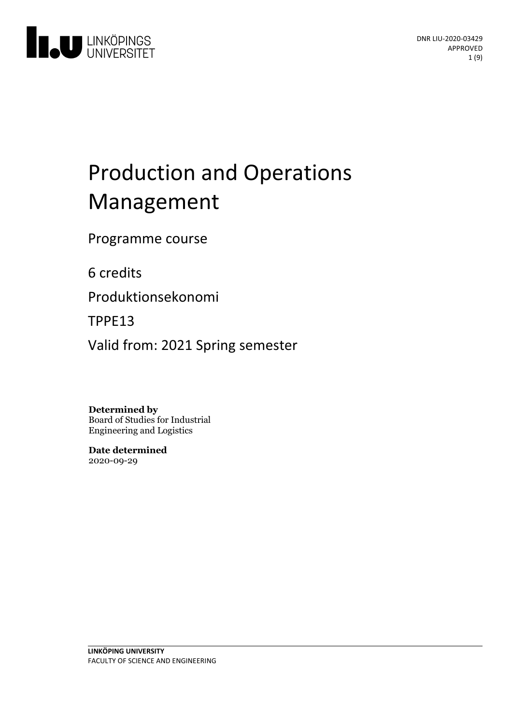

# Production and Operations Management

Programme course

6 credits

Produktionsekonomi

TPPE13

Valid from: 2021 Spring semester

**Determined by**

Board of Studies for Industrial Engineering and Logistics

**Date determined** 2020-09-29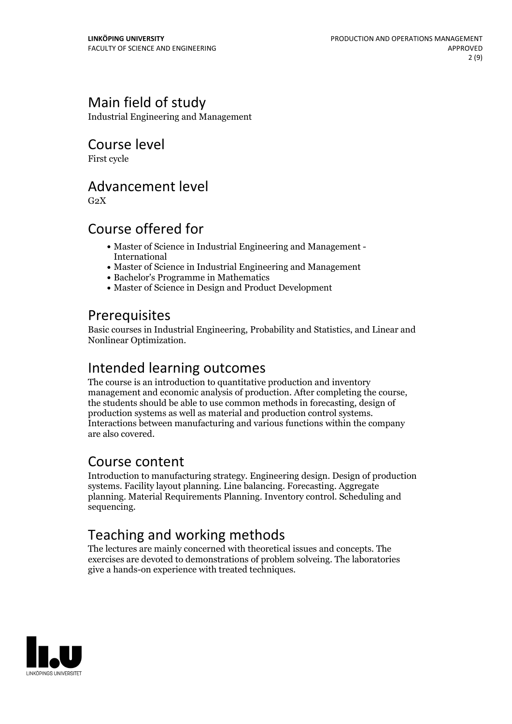# Main field of study

Industrial Engineering and Management

# Course level

First cycle

## Advancement level

 $G<sub>2</sub>X$ 

# Course offered for

- Master of Science in Industrial Engineering and Management International
- Master of Science in Industrial Engineering and Management
- Bachelor's Programme in Mathematics
- Master of Science in Design and Product Development

### **Prerequisites**

Basic courses in Industrial Engineering, Probability and Statistics, and Linear and Nonlinear Optimization.

# Intended learning outcomes

The course is an introduction to quantitative production and inventory management and economic analysis of production. After completing the course, the students should be able to use common methods in forecasting, design of production systems as well as material and production control systems Interactions between manufacturing and various functions within the company are also covered.

## Course content

Introduction to manufacturing strategy. Engineering design. Design of production systems. Facility layout planning. Line balancing. Forecasting. Aggregate planning. Material Requirements Planning. Inventory control. Scheduling and sequencing.

# Teaching and working methods

The lectures are mainly concerned with theoretical issues and concepts. The exercises are devoted to demonstrations of problem solveing. The laboratories give a hands-on experience with treated techniques.

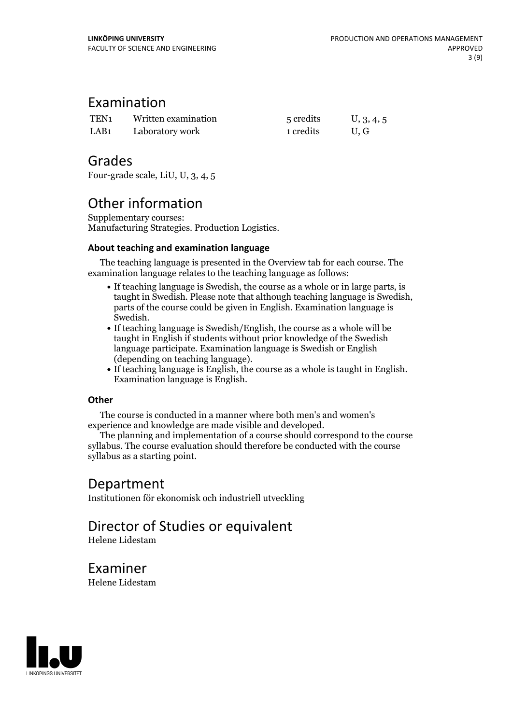### Examination

| TEN <sub>1</sub> | Written examination | 5 credits | U, 3, 4, 5 |
|------------------|---------------------|-----------|------------|
| LAB <sub>1</sub> | Laboratory work     | 1 credits | U.G        |

### Grades

Four-grade scale, LiU, U, 3, 4, 5

# Other information

Supplementary courses: Manufacturing Strategies. Production Logistics.

### **About teaching and examination language**

The teaching language is presented in the Overview tab for each course. The examination language relates to the teaching language as follows:

- If teaching language is Swedish, the course as a whole or in large parts, is taught in Swedish. Please note that although teaching language is Swedish, parts of the course could be given in English. Examination language is Swedish.
- If teaching language is Swedish/English, the course as a whole will be taught in English if students without prior knowledge of the Swedish language participate. Examination language is Swedish or English
- (depending on teaching language).<br>• If teaching language is English, the course as a whole is taught in English.<br>Examination language is English.

### **Other**

The course is conducted in a manner where both men's and women's

experience and knowledge are made visible and developed. The planning and implementation of <sup>a</sup> course should correspond to the course syllabus. The course evaluation should therefore be conducted with the course syllabus as a starting point.

### Department

Institutionen för ekonomisk och industriell utveckling

# Director of Studies or equivalent

Helene Lidestam

Examiner Helene Lidestam

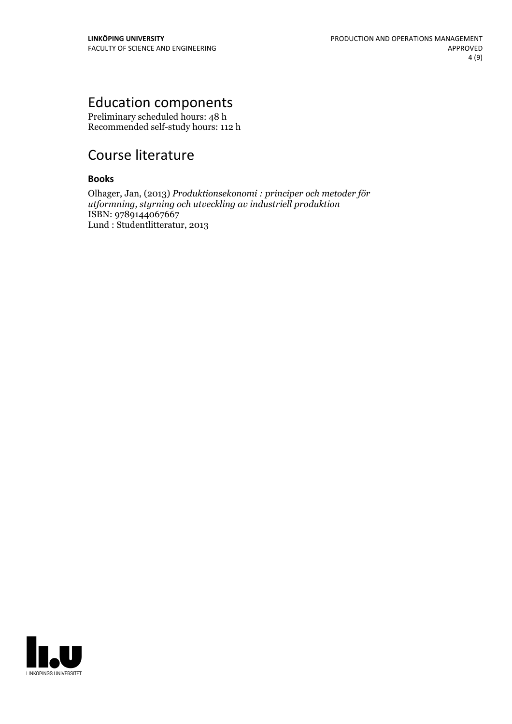# Education components

Preliminary scheduled hours: 48 h Recommended self-study hours: 112 h

# Course literature

### **Books**

Olhager, Jan, (2013) *Produktionsekonomi : principer och metoder för utformning, styrning och utveckling av industriell produktion* ISBN: 9789144067667 Lund : Studentlitteratur, 2013

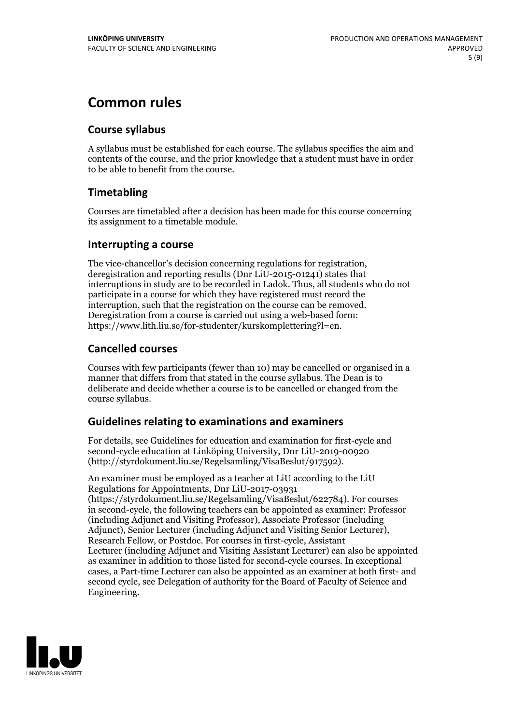# **Common rules**

### **Course syllabus**

A syllabus must be established for each course. The syllabus specifies the aim and contents of the course, and the prior knowledge that a student must have in order to be able to benefit from the course.

### **Timetabling**

Courses are timetabled after a decision has been made for this course concerning its assignment to a timetable module.

### **Interrupting a course**

The vice-chancellor's decision concerning regulations for registration, deregistration and reporting results (Dnr LiU-2015-01241) states that interruptions in study are to be recorded in Ladok. Thus, all students who do not participate in a course for which they have registered must record the interruption, such that the registration on the course can be removed. Deregistration from <sup>a</sup> course is carried outusing <sup>a</sup> web-based form: https://www.lith.liu.se/for-studenter/kurskomplettering?l=en.

### **Cancelled courses**

Courses with few participants (fewer than 10) may be cancelled or organised in a manner that differs from that stated in the course syllabus. The Dean is to deliberate and decide whether a course is to be cancelled or changed from the course syllabus.

### **Guidelines relatingto examinations and examiners**

For details, see Guidelines for education and examination for first-cycle and second-cycle education at Linköping University, Dnr LiU-2019-00920 (http://styrdokument.liu.se/Regelsamling/VisaBeslut/917592).

An examiner must be employed as a teacher at LiU according to the LiU Regulations for Appointments, Dnr LiU-2017-03931 (https://styrdokument.liu.se/Regelsamling/VisaBeslut/622784). For courses in second-cycle, the following teachers can be appointed as examiner: Professor (including Adjunct and Visiting Professor), Associate Professor (including Adjunct), Senior Lecturer (including Adjunct and Visiting Senior Lecturer), Research Fellow, or Postdoc. For courses in first-cycle, Assistant Lecturer (including Adjunct and Visiting Assistant Lecturer) can also be appointed as examiner in addition to those listed for second-cycle courses. In exceptional cases, a Part-time Lecturer can also be appointed as an examiner at both first- and second cycle, see Delegation of authority for the Board of Faculty of Science and Engineering.

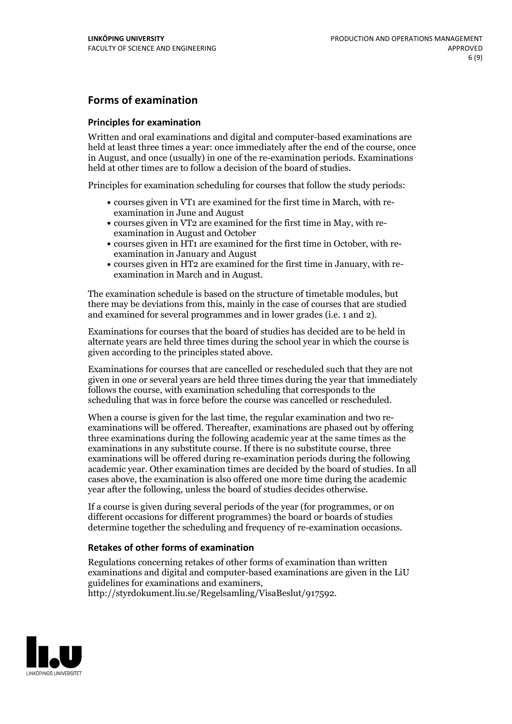### **Forms of examination**

#### **Principles for examination**

Written and oral examinations and digital and computer-based examinations are held at least three times a year: once immediately after the end of the course, once in August, and once (usually) in one of the re-examination periods. Examinations held at other times are to follow a decision of the board of studies.

Principles for examination scheduling for courses that follow the study periods:

- courses given in VT1 are examined for the first time in March, with re-examination in June and August
- courses given in VT2 are examined for the first time in May, with re-examination in August and October
- courses given in HT1 are examined for the first time in October, with re-examination in January and August
- courses given in HT2 are examined for the first time in January, with re-examination in March and in August.

The examination schedule is based on the structure of timetable modules, but there may be deviations from this, mainly in the case of courses that are studied and examined for several programmes and in lower grades (i.e. 1 and 2).

Examinations for courses that the board of studies has decided are to be held in alternate years are held three times during the school year in which the course is given according to the principles stated above.

Examinations for courses that are cancelled orrescheduled such that they are not given in one or several years are held three times during the year that immediately follows the course, with examination scheduling that corresponds to the scheduling that was in force before the course was cancelled or rescheduled.

When a course is given for the last time, the regular examination and two re-<br>examinations will be offered. Thereafter, examinations are phased out by offering three examinations during the following academic year at the same times as the examinations in any substitute course. If there is no substitute course, three examinations will be offered during re-examination periods during the following academic year. Other examination times are decided by the board of studies. In all cases above, the examination is also offered one more time during the academic year after the following, unless the board of studies decides otherwise.

If a course is given during several periods of the year (for programmes, or on different occasions for different programmes) the board or boards of studies determine together the scheduling and frequency of re-examination occasions.

#### **Retakes of other forms of examination**

Regulations concerning retakes of other forms of examination than written examinations and digital and computer-based examinations are given in the LiU guidelines for examinations and examiners, http://styrdokument.liu.se/Regelsamling/VisaBeslut/917592.

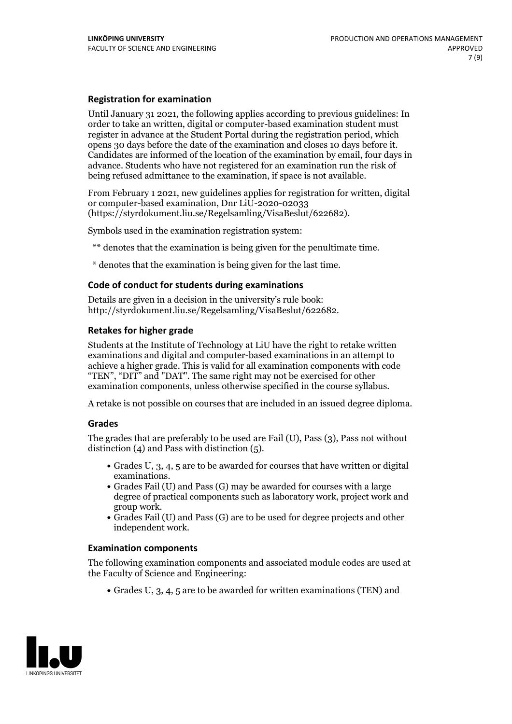### **Registration for examination**

Until January 31 2021, the following applies according to previous guidelines: In order to take an written, digital or computer-based examination student must register in advance at the Student Portal during the registration period, which Candidates are informed of the location of the examination by email, four days in advance. Students who have not registered for an examination run the risk of being refused admittance to the examination, if space is not available.

From February 1 2021, new guidelines applies for registration for written, digital or computer-based examination, Dnr LiU-2020-02033 (https://styrdokument.liu.se/Regelsamling/VisaBeslut/622682).

Symbols used in the examination registration system:

\*\* denotes that the examination is being given for the penultimate time.

\* denotes that the examination is being given for the last time.

#### **Code of conduct for students during examinations**

Details are given in a decision in the university's rule book: http://styrdokument.liu.se/Regelsamling/VisaBeslut/622682.

#### **Retakes for higher grade**

Students at the Institute of Technology at LiU have the right to retake written examinations and digital and computer-based examinations in an attempt to achieve a higher grade. This is valid for all examination components with code "TEN", "DIT" and "DAT". The same right may not be exercised for other examination components, unless otherwise specified in the course syllabus.

A retake is not possible on courses that are included in an issued degree diploma.

#### **Grades**

The grades that are preferably to be used are Fail (U), Pass (3), Pass not without distinction  $(4)$  and Pass with distinction  $(5)$ .

- Grades U, 3, 4, 5 are to be awarded for courses that have written or digital examinations.<br>• Grades Fail (U) and Pass (G) may be awarded for courses with a large
- degree of practical components such as laboratory work, project work and
- $\bullet$  Grades Fail (U) and Pass (G) are to be used for degree projects and other independent work.

#### **Examination components**

The following examination components and associated module codes are used at the Faculty of Science and Engineering:

Grades U, 3, 4, 5 are to be awarded for written examinations (TEN) and

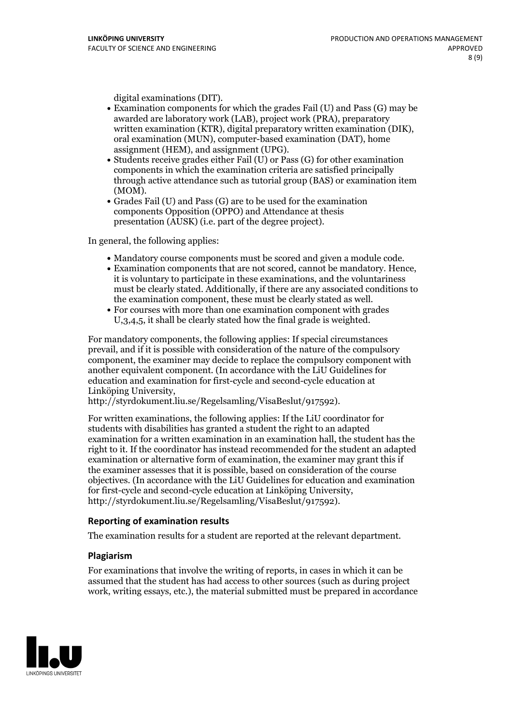- digital examinations (DIT).<br>• Examination components for which the grades Fail (U) and Pass (G) may be awarded are laboratory work (LAB), project work (PRA), preparatory written examination (KTR), digital preparatory written examination (DIK), oral examination (MUN), computer-based examination (DAT), home
- assignment (HEM), and assignment (UPG).<br>• Students receive grades either Fail (U) or Pass (G) for other examination components in which the examination criteria are satisfied principally through active attendance such as tutorial group (BAS) or examination item
- (MOM).<br>• Grades Fail (U) and Pass (G) are to be used for the examination components Opposition (OPPO) and Attendance at thesis presentation (AUSK) (i.e. part of the degree project).

In general, the following applies:

- 
- Mandatory course components must be scored and given <sup>a</sup> module code. Examination components that are not scored, cannot be mandatory. Hence, it is voluntary to participate in these examinations, and the voluntariness must be clearly stated. Additionally, if there are any associated conditions to the examination component, these must be clearly stated as well.<br>• For courses with more than one examination component with grades
- U,3,4,5, it shall be clearly stated how the final grade is weighted.

For mandatory components, the following applies: If special circumstances prevail, and if it is possible with consideration of the nature ofthe compulsory component, the examiner may decide to replace the compulsory component with another equivalent component. (In accordance with the LiU Guidelines for education and examination for first-cycle and second-cycle education at Linköping University, http://styrdokument.liu.se/Regelsamling/VisaBeslut/917592).

For written examinations, the following applies: If the LiU coordinator for students with disabilities has granted a student the right to an adapted examination for a written examination in an examination hall, the student has the right to it. If the coordinator has instead recommended for the student an adapted examination or alternative form of examination, the examiner may grant this if the examiner assesses that it is possible, based on consideration of the course objectives. (In accordance with the LiU Guidelines for education and examination for first-cycle and second-cycle education at Linköping University, http://styrdokument.liu.se/Regelsamling/VisaBeslut/917592).

#### **Reporting of examination results**

The examination results for a student are reported at the relevant department.

#### **Plagiarism**

For examinations that involve the writing of reports, in cases in which it can be assumed that the student has had access to other sources (such as during project work, writing essays, etc.), the material submitted must be prepared in accordance